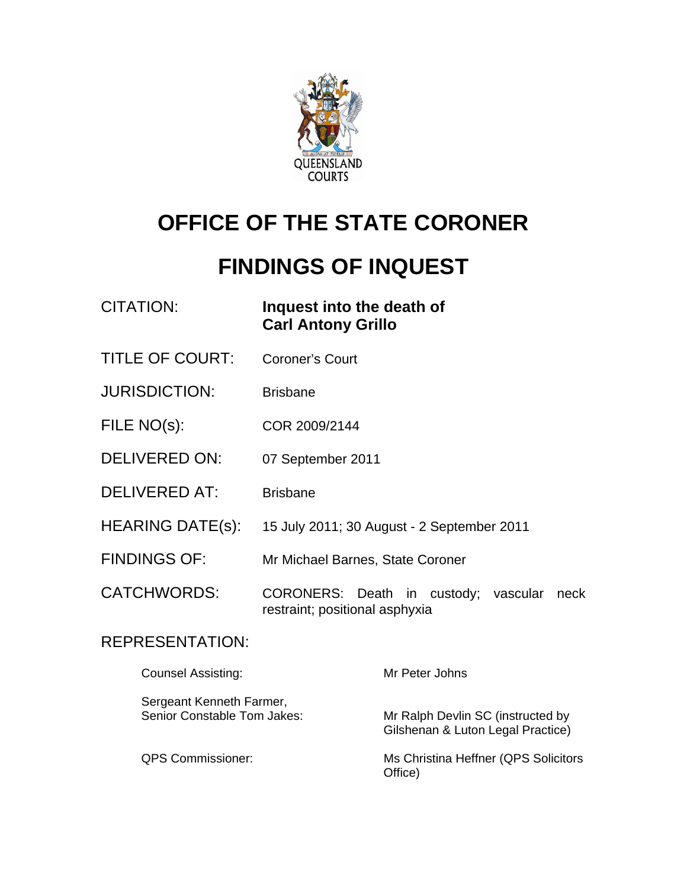

# **OFFICE OF THE STATE CORONER**

# **FINDINGS OF INQUEST**

| CITATION: | Inquest into the death of |
|-----------|---------------------------|
|           | <b>Carl Antony Grillo</b> |

- TITLE OF COURT: Coroner's Court
- JURISDICTION: Brisbane
- FILE NO(s): COR 2009/2144
- DELIVERED ON: 07 September 2011
- DELIVERED AT: Brisbane
- HEARING DATE(s): 15 July 2011; 30 August 2 September 2011
- FINDINGS OF: Mr Michael Barnes, State Coroner
- CATCHWORDS: CORONERS: Death in custody; vascular neck restraint; positional asphyxia

### REPRESENTATION:

| <b>Counsel Assisting:</b>                               | Mr Peter Johns                                                         |
|---------------------------------------------------------|------------------------------------------------------------------------|
| Sergeant Kenneth Farmer,<br>Senior Constable Tom Jakes: | Mr Ralph Devlin SC (instructed by<br>Gilshenan & Luton Legal Practice) |
| <b>QPS Commissioner:</b>                                | Ms Christina Heffner (QPS Solicitors<br>Office)                        |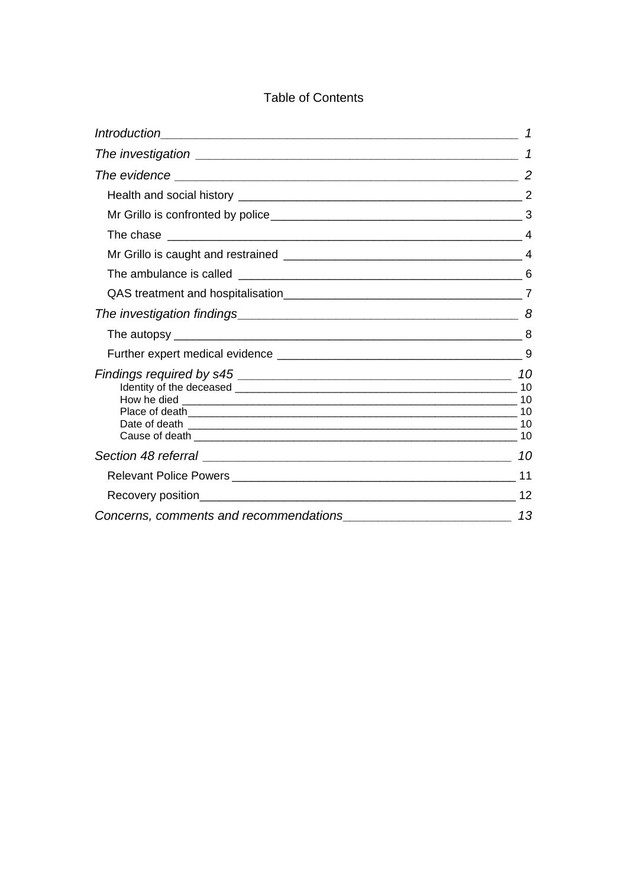### Table of Contents

| 10 |
|----|
|    |
|    |
| 13 |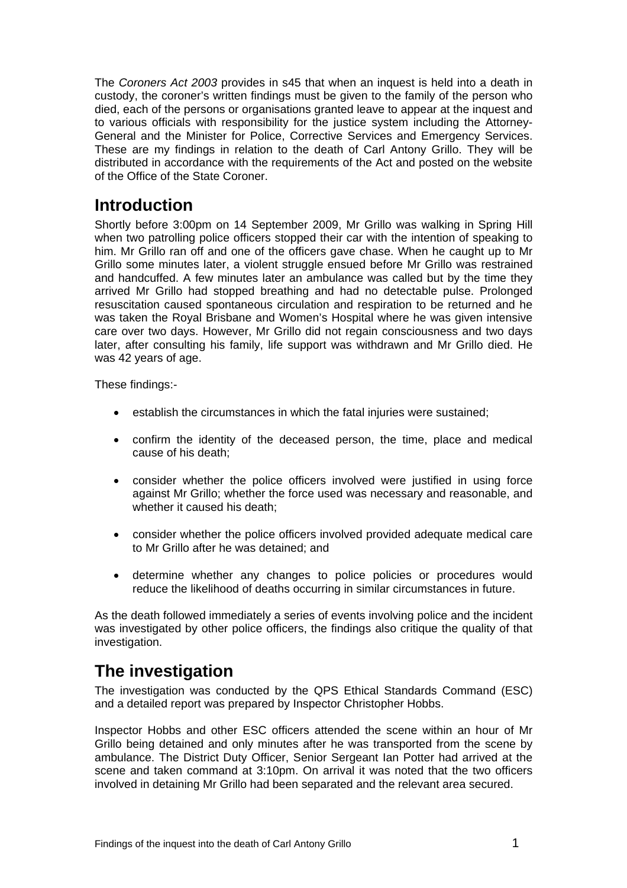<span id="page-2-0"></span>The *Coroners Act 2003* provides in s45 that when an inquest is held into a death in custody, the coroner's written findings must be given to the family of the person who died, each of the persons or organisations granted leave to appear at the inquest and to various officials with responsibility for the justice system including the Attorney-General and the Minister for Police, Corrective Services and Emergency Services. These are my findings in relation to the death of Carl Antony Grillo. They will be distributed in accordance with the requirements of the Act and posted on the website of the Office of the State Coroner.

## **Introduction**

Shortly before 3:00pm on 14 September 2009, Mr Grillo was walking in Spring Hill when two patrolling police officers stopped their car with the intention of speaking to him. Mr Grillo ran off and one of the officers gave chase. When he caught up to Mr Grillo some minutes later, a violent struggle ensued before Mr Grillo was restrained and handcuffed. A few minutes later an ambulance was called but by the time they arrived Mr Grillo had stopped breathing and had no detectable pulse. Prolonged resuscitation caused spontaneous circulation and respiration to be returned and he was taken the Royal Brisbane and Women's Hospital where he was given intensive care over two days. However, Mr Grillo did not regain consciousness and two days later, after consulting his family, life support was withdrawn and Mr Grillo died. He was 42 years of age.

These findings:-

- establish the circumstances in which the fatal injuries were sustained:
- confirm the identity of the deceased person, the time, place and medical cause of his death;
- consider whether the police officers involved were justified in using force against Mr Grillo; whether the force used was necessary and reasonable, and whether it caused his death;
- consider whether the police officers involved provided adequate medical care to Mr Grillo after he was detained; and
- determine whether any changes to police policies or procedures would reduce the likelihood of deaths occurring in similar circumstances in future.

As the death followed immediately a series of events involving police and the incident was investigated by other police officers, the findings also critique the quality of that investigation.

# **The investigation**

The investigation was conducted by the QPS Ethical Standards Command (ESC) and a detailed report was prepared by Inspector Christopher Hobbs.

Inspector Hobbs and other ESC officers attended the scene within an hour of Mr Grillo being detained and only minutes after he was transported from the scene by ambulance. The District Duty Officer, Senior Sergeant Ian Potter had arrived at the scene and taken command at 3:10pm. On arrival it was noted that the two officers involved in detaining Mr Grillo had been separated and the relevant area secured.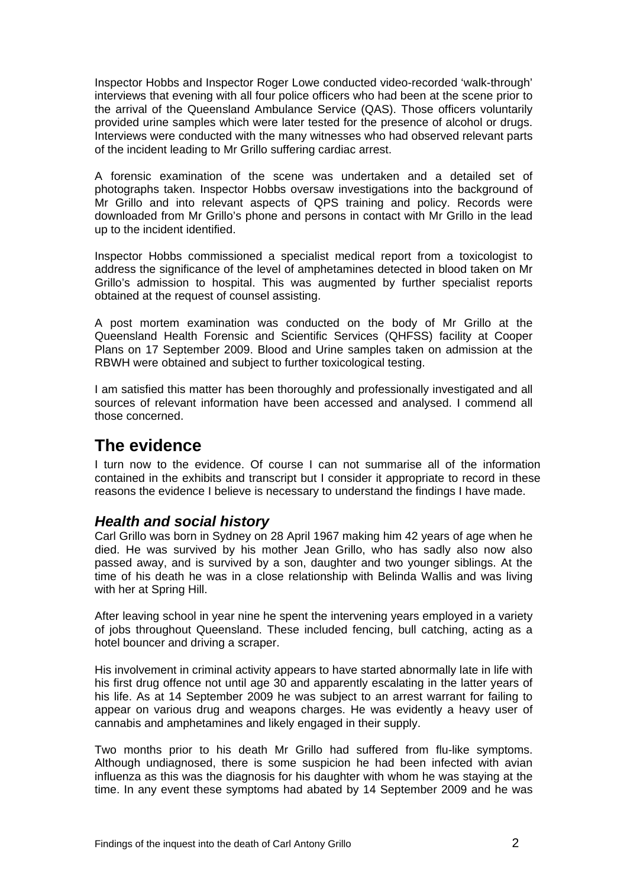<span id="page-3-0"></span>Inspector Hobbs and Inspector Roger Lowe conducted video-recorded 'walk-through' interviews that evening with all four police officers who had been at the scene prior to the arrival of the Queensland Ambulance Service (QAS). Those officers voluntarily provided urine samples which were later tested for the presence of alcohol or drugs. Interviews were conducted with the many witnesses who had observed relevant parts of the incident leading to Mr Grillo suffering cardiac arrest.

A forensic examination of the scene was undertaken and a detailed set of photographs taken. Inspector Hobbs oversaw investigations into the background of Mr Grillo and into relevant aspects of QPS training and policy. Records were downloaded from Mr Grillo's phone and persons in contact with Mr Grillo in the lead up to the incident identified.

Inspector Hobbs commissioned a specialist medical report from a toxicologist to address the significance of the level of amphetamines detected in blood taken on Mr Grillo's admission to hospital. This was augmented by further specialist reports obtained at the request of counsel assisting.

A post mortem examination was conducted on the body of Mr Grillo at the Queensland Health Forensic and Scientific Services (QHFSS) facility at Cooper Plans on 17 September 2009. Blood and Urine samples taken on admission at the RBWH were obtained and subject to further toxicological testing.

I am satisfied this matter has been thoroughly and professionally investigated and all sources of relevant information have been accessed and analysed. I commend all those concerned.

# **The evidence**

I turn now to the evidence. Of course I can not summarise all of the information contained in the exhibits and transcript but I consider it appropriate to record in these reasons the evidence I believe is necessary to understand the findings I have made.

### *Health and social history*

Carl Grillo was born in Sydney on 28 April 1967 making him 42 years of age when he died. He was survived by his mother Jean Grillo, who has sadly also now also passed away, and is survived by a son, daughter and two younger siblings. At the time of his death he was in a close relationship with Belinda Wallis and was living with her at Spring Hill.

After leaving school in year nine he spent the intervening years employed in a variety of jobs throughout Queensland. These included fencing, bull catching, acting as a hotel bouncer and driving a scraper.

His involvement in criminal activity appears to have started abnormally late in life with his first drug offence not until age 30 and apparently escalating in the latter years of his life. As at 14 September 2009 he was subject to an arrest warrant for failing to appear on various drug and weapons charges. He was evidently a heavy user of cannabis and amphetamines and likely engaged in their supply.

Two months prior to his death Mr Grillo had suffered from flu-like symptoms. Although undiagnosed, there is some suspicion he had been infected with avian influenza as this was the diagnosis for his daughter with whom he was staying at the time. In any event these symptoms had abated by 14 September 2009 and he was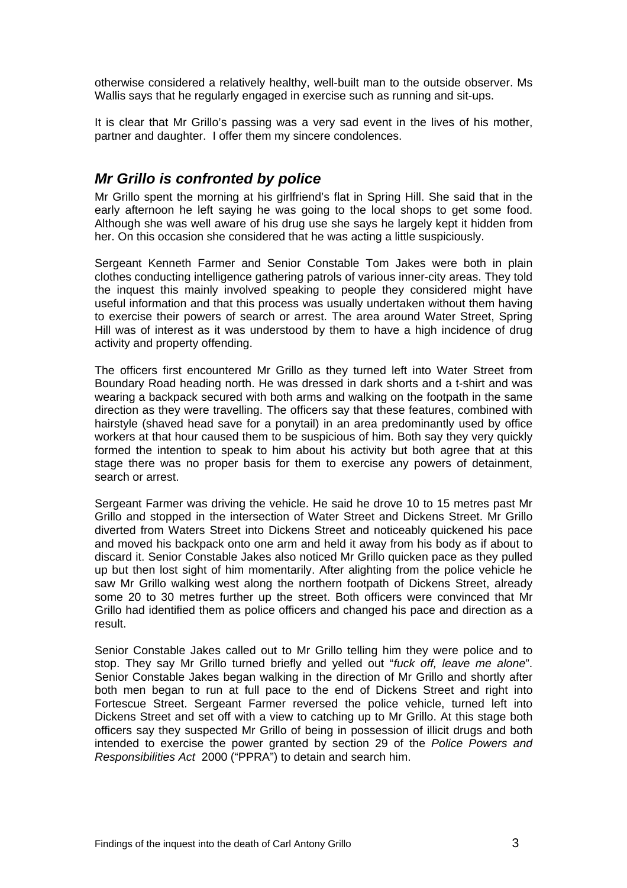<span id="page-4-0"></span>otherwise considered a relatively healthy, well-built man to the outside observer. Ms Wallis says that he regularly engaged in exercise such as running and sit-ups.

It is clear that Mr Grillo's passing was a very sad event in the lives of his mother, partner and daughter. I offer them my sincere condolences.

### *Mr Grillo is confronted by police*

Mr Grillo spent the morning at his girlfriend's flat in Spring Hill. She said that in the early afternoon he left saying he was going to the local shops to get some food. Although she was well aware of his drug use she says he largely kept it hidden from her. On this occasion she considered that he was acting a little suspiciously.

Sergeant Kenneth Farmer and Senior Constable Tom Jakes were both in plain clothes conducting intelligence gathering patrols of various inner-city areas. They told the inquest this mainly involved speaking to people they considered might have useful information and that this process was usually undertaken without them having to exercise their powers of search or arrest. The area around Water Street, Spring Hill was of interest as it was understood by them to have a high incidence of drug activity and property offending.

The officers first encountered Mr Grillo as they turned left into Water Street from Boundary Road heading north. He was dressed in dark shorts and a t-shirt and was wearing a backpack secured with both arms and walking on the footpath in the same direction as they were travelling. The officers say that these features, combined with hairstyle (shaved head save for a ponytail) in an area predominantly used by office workers at that hour caused them to be suspicious of him. Both say they very quickly formed the intention to speak to him about his activity but both agree that at this stage there was no proper basis for them to exercise any powers of detainment, search or arrest.

Sergeant Farmer was driving the vehicle. He said he drove 10 to 15 metres past Mr Grillo and stopped in the intersection of Water Street and Dickens Street. Mr Grillo diverted from Waters Street into Dickens Street and noticeably quickened his pace and moved his backpack onto one arm and held it away from his body as if about to discard it. Senior Constable Jakes also noticed Mr Grillo quicken pace as they pulled up but then lost sight of him momentarily. After alighting from the police vehicle he saw Mr Grillo walking west along the northern footpath of Dickens Street, already some 20 to 30 metres further up the street. Both officers were convinced that Mr Grillo had identified them as police officers and changed his pace and direction as a result.

Senior Constable Jakes called out to Mr Grillo telling him they were police and to stop. They say Mr Grillo turned briefly and yelled out "*fuck off, leave me alone*". Senior Constable Jakes began walking in the direction of Mr Grillo and shortly after both men began to run at full pace to the end of Dickens Street and right into Fortescue Street. Sergeant Farmer reversed the police vehicle, turned left into Dickens Street and set off with a view to catching up to Mr Grillo. At this stage both officers say they suspected Mr Grillo of being in possession of illicit drugs and both intended to exercise the power granted by section 29 of the *Police Powers and Responsibilities Act* 2000 ("PPRA") to detain and search him.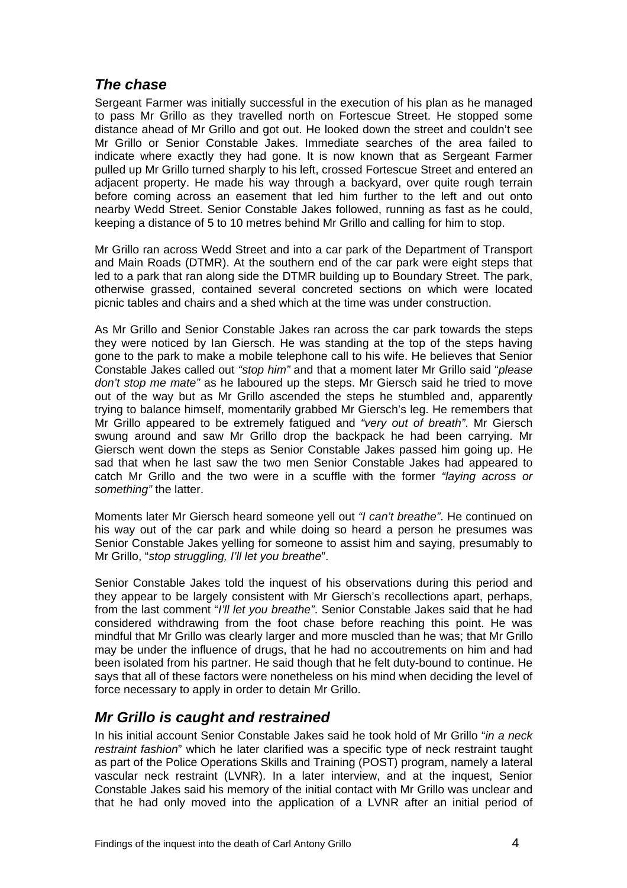### <span id="page-5-0"></span>*The chase*

Sergeant Farmer was initially successful in the execution of his plan as he managed to pass Mr Grillo as they travelled north on Fortescue Street. He stopped some distance ahead of Mr Grillo and got out. He looked down the street and couldn't see Mr Grillo or Senior Constable Jakes. Immediate searches of the area failed to indicate where exactly they had gone. It is now known that as Sergeant Farmer pulled up Mr Grillo turned sharply to his left, crossed Fortescue Street and entered an adjacent property. He made his way through a backyard, over quite rough terrain before coming across an easement that led him further to the left and out onto nearby Wedd Street. Senior Constable Jakes followed, running as fast as he could, keeping a distance of 5 to 10 metres behind Mr Grillo and calling for him to stop.

Mr Grillo ran across Wedd Street and into a car park of the Department of Transport and Main Roads (DTMR). At the southern end of the car park were eight steps that led to a park that ran along side the DTMR building up to Boundary Street. The park, otherwise grassed, contained several concreted sections on which were located picnic tables and chairs and a shed which at the time was under construction.

As Mr Grillo and Senior Constable Jakes ran across the car park towards the steps they were noticed by Ian Giersch. He was standing at the top of the steps having gone to the park to make a mobile telephone call to his wife. He believes that Senior Constable Jakes called out *"stop him"* and that a moment later Mr Grillo said "*please don't stop me mate"* as he laboured up the steps. Mr Giersch said he tried to move out of the way but as Mr Grillo ascended the steps he stumbled and, apparently trying to balance himself, momentarily grabbed Mr Giersch's leg. He remembers that Mr Grillo appeared to be extremely fatigued and *"very out of breath"*. Mr Giersch swung around and saw Mr Grillo drop the backpack he had been carrying. Mr Giersch went down the steps as Senior Constable Jakes passed him going up. He sad that when he last saw the two men Senior Constable Jakes had appeared to catch Mr Grillo and the two were in a scuffle with the former *"laying across or something"* the latter.

Moments later Mr Giersch heard someone yell out *"I can't breathe"*. He continued on his way out of the car park and while doing so heard a person he presumes was Senior Constable Jakes yelling for someone to assist him and saying, presumably to Mr Grillo, "*stop struggling, I'll let you breathe*".

Senior Constable Jakes told the inquest of his observations during this period and they appear to be largely consistent with Mr Giersch's recollections apart, perhaps, from the last comment "*I'll let you breathe"*. Senior Constable Jakes said that he had considered withdrawing from the foot chase before reaching this point. He was mindful that Mr Grillo was clearly larger and more muscled than he was; that Mr Grillo may be under the influence of drugs, that he had no accoutrements on him and had been isolated from his partner. He said though that he felt duty-bound to continue. He says that all of these factors were nonetheless on his mind when deciding the level of force necessary to apply in order to detain Mr Grillo.

### *Mr Grillo is caught and restrained*

In his initial account Senior Constable Jakes said he took hold of Mr Grillo "*in a neck restraint fashion*" which he later clarified was a specific type of neck restraint taught as part of the Police Operations Skills and Training (POST) program, namely a lateral vascular neck restraint (LVNR). In a later interview, and at the inquest, Senior Constable Jakes said his memory of the initial contact with Mr Grillo was unclear and that he had only moved into the application of a LVNR after an initial period of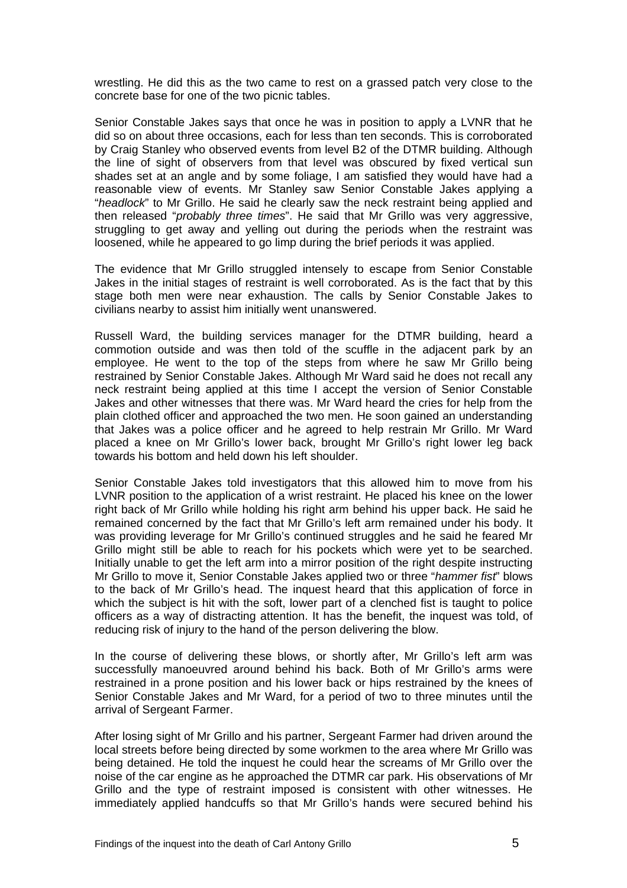wrestling. He did this as the two came to rest on a grassed patch very close to the concrete base for one of the two picnic tables.

Senior Constable Jakes says that once he was in position to apply a LVNR that he did so on about three occasions, each for less than ten seconds. This is corroborated by Craig Stanley who observed events from level B2 of the DTMR building. Although the line of sight of observers from that level was obscured by fixed vertical sun shades set at an angle and by some foliage, I am satisfied they would have had a reasonable view of events. Mr Stanley saw Senior Constable Jakes applying a "*headlock*" to Mr Grillo. He said he clearly saw the neck restraint being applied and then released "*probably three times*". He said that Mr Grillo was very aggressive, struggling to get away and yelling out during the periods when the restraint was loosened, while he appeared to go limp during the brief periods it was applied.

The evidence that Mr Grillo struggled intensely to escape from Senior Constable Jakes in the initial stages of restraint is well corroborated. As is the fact that by this stage both men were near exhaustion. The calls by Senior Constable Jakes to civilians nearby to assist him initially went unanswered.

Russell Ward, the building services manager for the DTMR building, heard a commotion outside and was then told of the scuffle in the adjacent park by an employee. He went to the top of the steps from where he saw Mr Grillo being restrained by Senior Constable Jakes. Although Mr Ward said he does not recall any neck restraint being applied at this time I accept the version of Senior Constable Jakes and other witnesses that there was. Mr Ward heard the cries for help from the plain clothed officer and approached the two men. He soon gained an understanding that Jakes was a police officer and he agreed to help restrain Mr Grillo. Mr Ward placed a knee on Mr Grillo's lower back, brought Mr Grillo's right lower leg back towards his bottom and held down his left shoulder.

Senior Constable Jakes told investigators that this allowed him to move from his LVNR position to the application of a wrist restraint. He placed his knee on the lower right back of Mr Grillo while holding his right arm behind his upper back. He said he remained concerned by the fact that Mr Grillo's left arm remained under his body. It was providing leverage for Mr Grillo's continued struggles and he said he feared Mr Grillo might still be able to reach for his pockets which were yet to be searched. Initially unable to get the left arm into a mirror position of the right despite instructing Mr Grillo to move it, Senior Constable Jakes applied two or three "*hammer fist*" blows to the back of Mr Grillo's head. The inquest heard that this application of force in which the subject is hit with the soft, lower part of a clenched fist is taught to police officers as a way of distracting attention. It has the benefit, the inquest was told, of reducing risk of injury to the hand of the person delivering the blow.

In the course of delivering these blows, or shortly after, Mr Grillo's left arm was successfully manoeuvred around behind his back. Both of Mr Grillo's arms were restrained in a prone position and his lower back or hips restrained by the knees of Senior Constable Jakes and Mr Ward, for a period of two to three minutes until the arrival of Sergeant Farmer.

After losing sight of Mr Grillo and his partner, Sergeant Farmer had driven around the local streets before being directed by some workmen to the area where Mr Grillo was being detained. He told the inquest he could hear the screams of Mr Grillo over the noise of the car engine as he approached the DTMR car park. His observations of Mr Grillo and the type of restraint imposed is consistent with other witnesses. He immediately applied handcuffs so that Mr Grillo's hands were secured behind his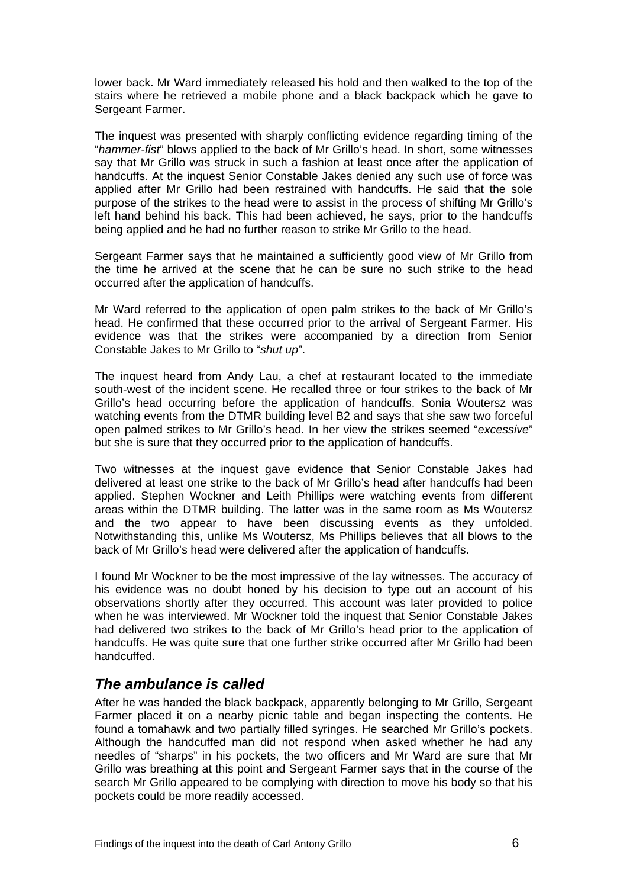<span id="page-7-0"></span>lower back. Mr Ward immediately released his hold and then walked to the top of the stairs where he retrieved a mobile phone and a black backpack which he gave to Sergeant Farmer.

The inquest was presented with sharply conflicting evidence regarding timing of the "*hammer-fist*" blows applied to the back of Mr Grillo's head. In short, some witnesses say that Mr Grillo was struck in such a fashion at least once after the application of handcuffs. At the inquest Senior Constable Jakes denied any such use of force was applied after Mr Grillo had been restrained with handcuffs. He said that the sole purpose of the strikes to the head were to assist in the process of shifting Mr Grillo's left hand behind his back. This had been achieved, he says, prior to the handcuffs being applied and he had no further reason to strike Mr Grillo to the head.

Sergeant Farmer says that he maintained a sufficiently good view of Mr Grillo from the time he arrived at the scene that he can be sure no such strike to the head occurred after the application of handcuffs.

Mr Ward referred to the application of open palm strikes to the back of Mr Grillo's head. He confirmed that these occurred prior to the arrival of Sergeant Farmer. His evidence was that the strikes were accompanied by a direction from Senior Constable Jakes to Mr Grillo to "*shut up*".

The inquest heard from Andy Lau, a chef at restaurant located to the immediate south-west of the incident scene. He recalled three or four strikes to the back of Mr Grillo's head occurring before the application of handcuffs. Sonia Woutersz was watching events from the DTMR building level B2 and says that she saw two forceful open palmed strikes to Mr Grillo's head. In her view the strikes seemed "*excessive*" but she is sure that they occurred prior to the application of handcuffs.

Two witnesses at the inquest gave evidence that Senior Constable Jakes had delivered at least one strike to the back of Mr Grillo's head after handcuffs had been applied. Stephen Wockner and Leith Phillips were watching events from different areas within the DTMR building. The latter was in the same room as Ms Woutersz and the two appear to have been discussing events as they unfolded. Notwithstanding this, unlike Ms Woutersz, Ms Phillips believes that all blows to the back of Mr Grillo's head were delivered after the application of handcuffs.

I found Mr Wockner to be the most impressive of the lay witnesses. The accuracy of his evidence was no doubt honed by his decision to type out an account of his observations shortly after they occurred. This account was later provided to police when he was interviewed. Mr Wockner told the inquest that Senior Constable Jakes had delivered two strikes to the back of Mr Grillo's head prior to the application of handcuffs. He was quite sure that one further strike occurred after Mr Grillo had been handcuffed.

### *The ambulance is called*

After he was handed the black backpack, apparently belonging to Mr Grillo, Sergeant Farmer placed it on a nearby picnic table and began inspecting the contents. He found a tomahawk and two partially filled syringes. He searched Mr Grillo's pockets. Although the handcuffed man did not respond when asked whether he had any needles of "sharps" in his pockets, the two officers and Mr Ward are sure that Mr Grillo was breathing at this point and Sergeant Farmer says that in the course of the search Mr Grillo appeared to be complying with direction to move his body so that his pockets could be more readily accessed.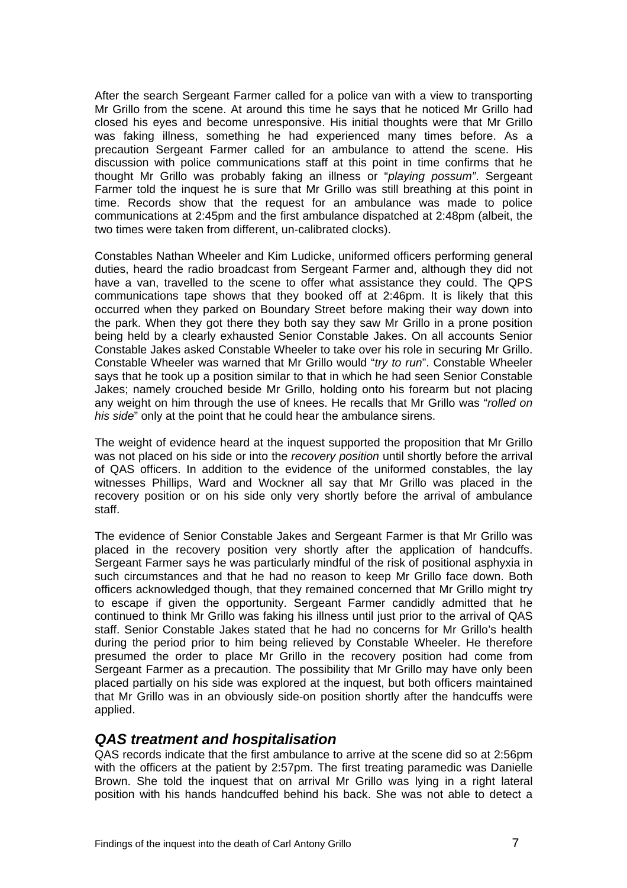<span id="page-8-0"></span>After the search Sergeant Farmer called for a police van with a view to transporting Mr Grillo from the scene. At around this time he says that he noticed Mr Grillo had closed his eyes and become unresponsive. His initial thoughts were that Mr Grillo was faking illness, something he had experienced many times before. As a precaution Sergeant Farmer called for an ambulance to attend the scene. His discussion with police communications staff at this point in time confirms that he thought Mr Grillo was probably faking an illness or "*playing possum"*. Sergeant Farmer told the inquest he is sure that Mr Grillo was still breathing at this point in time. Records show that the request for an ambulance was made to police communications at 2:45pm and the first ambulance dispatched at 2:48pm (albeit, the two times were taken from different, un-calibrated clocks).

Constables Nathan Wheeler and Kim Ludicke, uniformed officers performing general duties, heard the radio broadcast from Sergeant Farmer and, although they did not have a van, travelled to the scene to offer what assistance they could. The QPS communications tape shows that they booked off at 2:46pm. It is likely that this occurred when they parked on Boundary Street before making their way down into the park. When they got there they both say they saw Mr Grillo in a prone position being held by a clearly exhausted Senior Constable Jakes. On all accounts Senior Constable Jakes asked Constable Wheeler to take over his role in securing Mr Grillo. Constable Wheeler was warned that Mr Grillo would "*try to run*". Constable Wheeler says that he took up a position similar to that in which he had seen Senior Constable Jakes; namely crouched beside Mr Grillo, holding onto his forearm but not placing any weight on him through the use of knees. He recalls that Mr Grillo was "*rolled on his side*" only at the point that he could hear the ambulance sirens.

The weight of evidence heard at the inquest supported the proposition that Mr Grillo was not placed on his side or into the *recovery position* until shortly before the arrival of QAS officers. In addition to the evidence of the uniformed constables, the lay witnesses Phillips, Ward and Wockner all say that Mr Grillo was placed in the recovery position or on his side only very shortly before the arrival of ambulance staff.

The evidence of Senior Constable Jakes and Sergeant Farmer is that Mr Grillo was placed in the recovery position very shortly after the application of handcuffs. Sergeant Farmer says he was particularly mindful of the risk of positional asphyxia in such circumstances and that he had no reason to keep Mr Grillo face down. Both officers acknowledged though, that they remained concerned that Mr Grillo might try to escape if given the opportunity. Sergeant Farmer candidly admitted that he continued to think Mr Grillo was faking his illness until just prior to the arrival of QAS staff. Senior Constable Jakes stated that he had no concerns for Mr Grillo's health during the period prior to him being relieved by Constable Wheeler. He therefore presumed the order to place Mr Grillo in the recovery position had come from Sergeant Farmer as a precaution. The possibility that Mr Grillo may have only been placed partially on his side was explored at the inquest, but both officers maintained that Mr Grillo was in an obviously side-on position shortly after the handcuffs were applied.

#### *QAS treatment and hospitalisation*

QAS records indicate that the first ambulance to arrive at the scene did so at 2:56pm with the officers at the patient by 2:57pm. The first treating paramedic was Danielle Brown. She told the inquest that on arrival Mr Grillo was lying in a right lateral position with his hands handcuffed behind his back. She was not able to detect a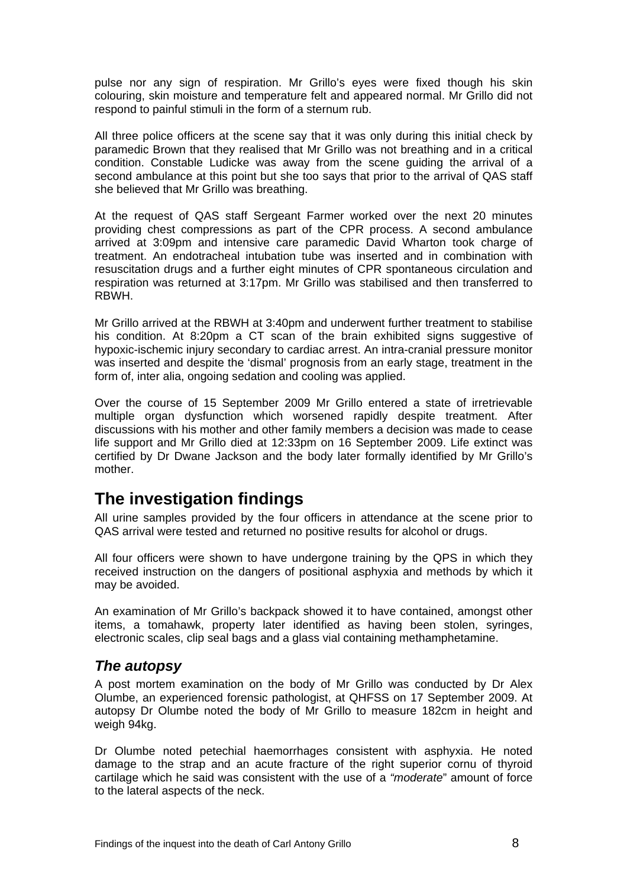<span id="page-9-0"></span>pulse nor any sign of respiration. Mr Grillo's eyes were fixed though his skin colouring, skin moisture and temperature felt and appeared normal. Mr Grillo did not respond to painful stimuli in the form of a sternum rub.

All three police officers at the scene say that it was only during this initial check by paramedic Brown that they realised that Mr Grillo was not breathing and in a critical condition. Constable Ludicke was away from the scene guiding the arrival of a second ambulance at this point but she too says that prior to the arrival of QAS staff she believed that Mr Grillo was breathing.

At the request of QAS staff Sergeant Farmer worked over the next 20 minutes providing chest compressions as part of the CPR process. A second ambulance arrived at 3:09pm and intensive care paramedic David Wharton took charge of treatment. An endotracheal intubation tube was inserted and in combination with resuscitation drugs and a further eight minutes of CPR spontaneous circulation and respiration was returned at 3:17pm. Mr Grillo was stabilised and then transferred to RBWH.

Mr Grillo arrived at the RBWH at 3:40pm and underwent further treatment to stabilise his condition. At 8:20pm a CT scan of the brain exhibited signs suggestive of hypoxic-ischemic injury secondary to cardiac arrest. An intra-cranial pressure monitor was inserted and despite the 'dismal' prognosis from an early stage, treatment in the form of, inter alia, ongoing sedation and cooling was applied.

Over the course of 15 September 2009 Mr Grillo entered a state of irretrievable multiple organ dysfunction which worsened rapidly despite treatment. After discussions with his mother and other family members a decision was made to cease life support and Mr Grillo died at 12:33pm on 16 September 2009. Life extinct was certified by Dr Dwane Jackson and the body later formally identified by Mr Grillo's mother.

# **The investigation findings**

All urine samples provided by the four officers in attendance at the scene prior to QAS arrival were tested and returned no positive results for alcohol or drugs.

All four officers were shown to have undergone training by the QPS in which they received instruction on the dangers of positional asphyxia and methods by which it may be avoided.

An examination of Mr Grillo's backpack showed it to have contained, amongst other items, a tomahawk, property later identified as having been stolen, syringes, electronic scales, clip seal bags and a glass vial containing methamphetamine.

### *The autopsy*

A post mortem examination on the body of Mr Grillo was conducted by Dr Alex Olumbe, an experienced forensic pathologist, at QHFSS on 17 September 2009. At autopsy Dr Olumbe noted the body of Mr Grillo to measure 182cm in height and weigh 94kg.

Dr Olumbe noted petechial haemorrhages consistent with asphyxia. He noted damage to the strap and an acute fracture of the right superior cornu of thyroid cartilage which he said was consistent with the use of a *"moderate*" amount of force to the lateral aspects of the neck.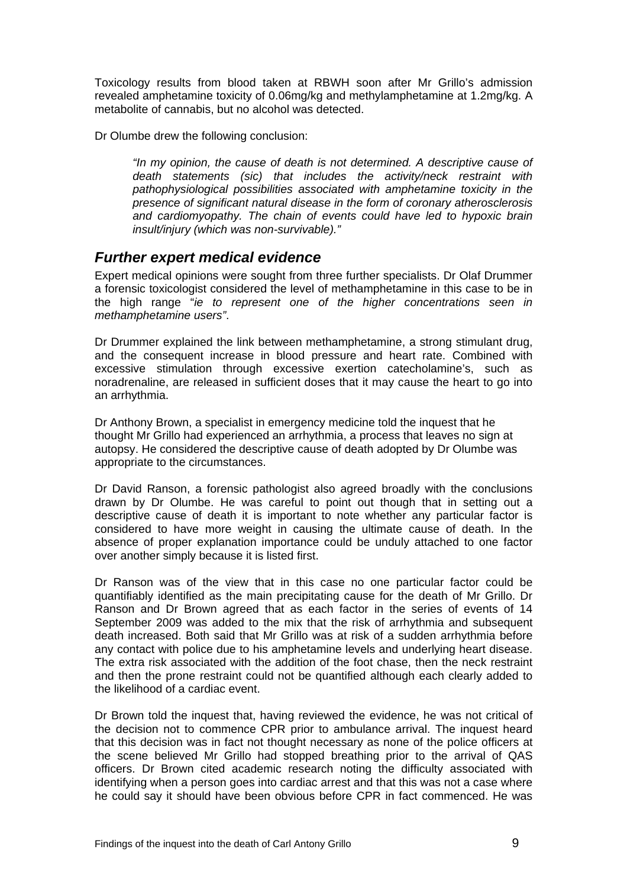<span id="page-10-0"></span>Toxicology results from blood taken at RBWH soon after Mr Grillo's admission revealed amphetamine toxicity of 0.06mg/kg and methylamphetamine at 1.2mg/kg. A metabolite of cannabis, but no alcohol was detected.

Dr Olumbe drew the following conclusion:

*"In my opinion, the cause of death is not determined. A descriptive cause of death statements (sic) that includes the activity/neck restraint with pathophysiological possibilities associated with amphetamine toxicity in the presence of significant natural disease in the form of coronary atherosclerosis and cardiomyopathy. The chain of events could have led to hypoxic brain insult/injury (which was non-survivable)."* 

### *Further expert medical evidence*

Expert medical opinions were sought from three further specialists. Dr Olaf Drummer a forensic toxicologist considered the level of methamphetamine in this case to be in the high range "*ie to represent one of the higher concentrations seen in methamphetamine users"*.

Dr Drummer explained the link between methamphetamine, a strong stimulant drug, and the consequent increase in blood pressure and heart rate. Combined with excessive stimulation through excessive exertion catecholamine's, such as noradrenaline, are released in sufficient doses that it may cause the heart to go into an arrhythmia.

Dr Anthony Brown, a specialist in emergency medicine told the inquest that he thought Mr Grillo had experienced an arrhythmia, a process that leaves no sign at autopsy. He considered the descriptive cause of death adopted by Dr Olumbe was appropriate to the circumstances.

Dr David Ranson, a forensic pathologist also agreed broadly with the conclusions drawn by Dr Olumbe. He was careful to point out though that in setting out a descriptive cause of death it is important to note whether any particular factor is considered to have more weight in causing the ultimate cause of death. In the absence of proper explanation importance could be unduly attached to one factor over another simply because it is listed first.

Dr Ranson was of the view that in this case no one particular factor could be quantifiably identified as the main precipitating cause for the death of Mr Grillo. Dr Ranson and Dr Brown agreed that as each factor in the series of events of 14 September 2009 was added to the mix that the risk of arrhythmia and subsequent death increased. Both said that Mr Grillo was at risk of a sudden arrhythmia before any contact with police due to his amphetamine levels and underlying heart disease. The extra risk associated with the addition of the foot chase, then the neck restraint and then the prone restraint could not be quantified although each clearly added to the likelihood of a cardiac event.

Dr Brown told the inquest that, having reviewed the evidence, he was not critical of the decision not to commence CPR prior to ambulance arrival. The inquest heard that this decision was in fact not thought necessary as none of the police officers at the scene believed Mr Grillo had stopped breathing prior to the arrival of QAS officers. Dr Brown cited academic research noting the difficulty associated with identifying when a person goes into cardiac arrest and that this was not a case where he could say it should have been obvious before CPR in fact commenced. He was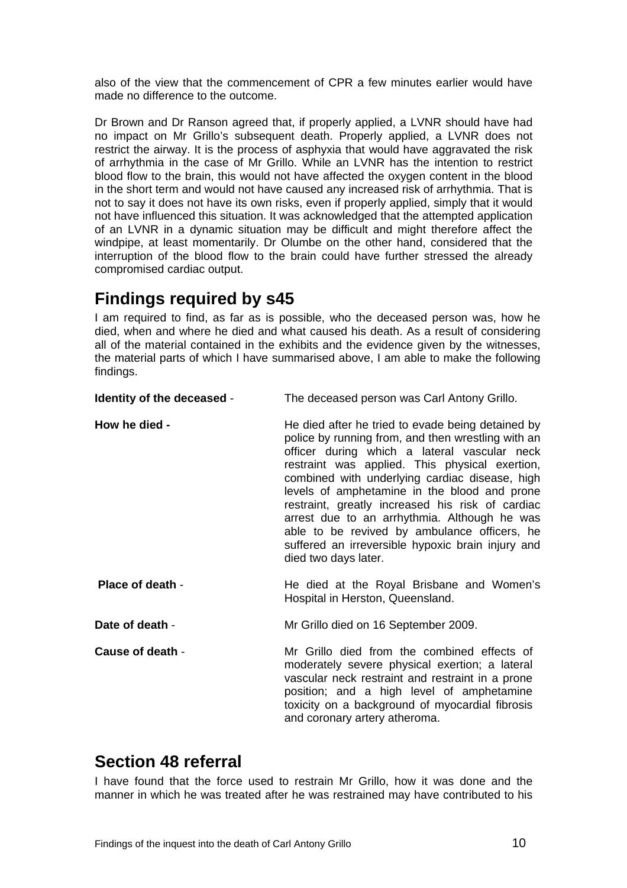<span id="page-11-0"></span>also of the view that the commencement of CPR a few minutes earlier would have made no difference to the outcome.

Dr Brown and Dr Ranson agreed that, if properly applied, a LVNR should have had no impact on Mr Grillo's subsequent death. Properly applied, a LVNR does not restrict the airway. It is the process of asphyxia that would have aggravated the risk of arrhythmia in the case of Mr Grillo. While an LVNR has the intention to restrict blood flow to the brain, this would not have affected the oxygen content in the blood in the short term and would not have caused any increased risk of arrhythmia. That is not to say it does not have its own risks, even if properly applied, simply that it would not have influenced this situation. It was acknowledged that the attempted application of an LVNR in a dynamic situation may be difficult and might therefore affect the windpipe, at least momentarily. Dr Olumbe on the other hand, considered that the interruption of the blood flow to the brain could have further stressed the already compromised cardiac output.

## **Findings required by s45**

I am required to find, as far as is possible, who the deceased person was, how he died, when and where he died and what caused his death. As a result of considering all of the material contained in the exhibits and the evidence given by the witnesses, the material parts of which I have summarised above, I am able to make the following findings.

| Identity of the deceased - | The deceased person was Carl Antony Grillo.                                                                                                                                                                                                                                                                                                                                                                                                                                                                                                  |
|----------------------------|----------------------------------------------------------------------------------------------------------------------------------------------------------------------------------------------------------------------------------------------------------------------------------------------------------------------------------------------------------------------------------------------------------------------------------------------------------------------------------------------------------------------------------------------|
| How he died -              | He died after he tried to evade being detained by<br>police by running from, and then wrestling with an<br>officer during which a lateral vascular neck<br>restraint was applied. This physical exertion,<br>combined with underlying cardiac disease, high<br>levels of amphetamine in the blood and prone<br>restraint, greatly increased his risk of cardiac<br>arrest due to an arrhythmia. Although he was<br>able to be revived by ambulance officers, he<br>suffered an irreversible hypoxic brain injury and<br>died two days later. |
| Place of death -           | He died at the Royal Brisbane and Women's<br>Hospital in Herston, Queensland.                                                                                                                                                                                                                                                                                                                                                                                                                                                                |
| Date of death -            | Mr Grillo died on 16 September 2009.                                                                                                                                                                                                                                                                                                                                                                                                                                                                                                         |
| Cause of death -           | Mr Grillo died from the combined effects of<br>moderately severe physical exertion; a lateral<br>vascular neck restraint and restraint in a prone<br>position; and a high level of amphetamine<br>toxicity on a background of myocardial fibrosis<br>and coronary artery atheroma.                                                                                                                                                                                                                                                           |

# **Section 48 referral**

I have found that the force used to restrain Mr Grillo, how it was done and the manner in which he was treated after he was restrained may have contributed to his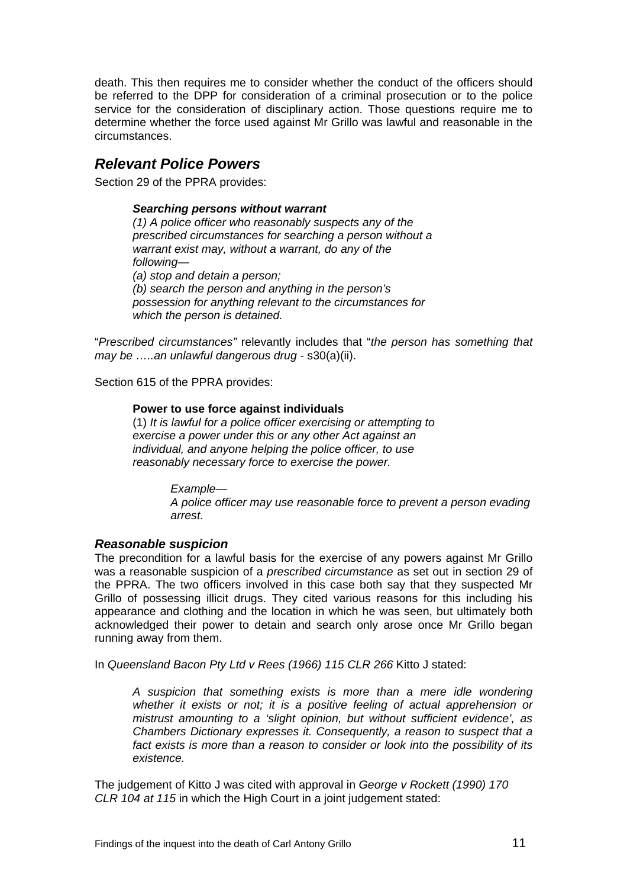<span id="page-12-0"></span>death. This then requires me to consider whether the conduct of the officers should be referred to the DPP for consideration of a criminal prosecution or to the police service for the consideration of disciplinary action. Those questions require me to determine whether the force used against Mr Grillo was lawful and reasonable in the circumstances.

### *Relevant Police Powers*

Section 29 of the PPRA provides:

#### *Searching persons without warrant*

*(1) A police officer who reasonably suspects any of the prescribed circumstances for searching a person without a warrant exist may, without a warrant, do any of the following— (a) stop and detain a person; (b) search the person and anything in the person's possession for anything relevant to the circumstances for which the person is detained.* 

"*Prescribed circumstances"* relevantly includes that "*the person has something that may be …..an unlawful dangerous drug -* s30(a)(ii).

Section 615 of the PPRA provides:

#### **Power to use force against individuals**

(1) *It is lawful for a police officer exercising or attempting to exercise a power under this or any other Act against an individual, and anyone helping the police officer, to use reasonably necessary force to exercise the power.* 

> *Example— A police officer may use reasonable force to prevent a person evading arrest.*

#### *Reasonable suspicion*

The precondition for a lawful basis for the exercise of any powers against Mr Grillo was a reasonable suspicion of a *prescribed circumstance* as set out in section 29 of the PPRA. The two officers involved in this case both say that they suspected Mr Grillo of possessing illicit drugs. They cited various reasons for this including his appearance and clothing and the location in which he was seen, but ultimately both acknowledged their power to detain and search only arose once Mr Grillo began running away from them.

In *Queensland Bacon Pty Ltd v Rees (1966) 115 CLR 266* Kitto J stated:

*A suspicion that something exists is more than a mere idle wondering whether it exists or not; it is a positive feeling of actual apprehension or mistrust amounting to a 'slight opinion, but without sufficient evidence', as Chambers Dictionary expresses it. Consequently, a reason to suspect that a fact exists is more than a reason to consider or look into the possibility of its existence.* 

The judgement of Kitto J was cited with approval in *George v Rockett (1990) 170 CLR 104 at 115* in which the High Court in a joint judgement stated: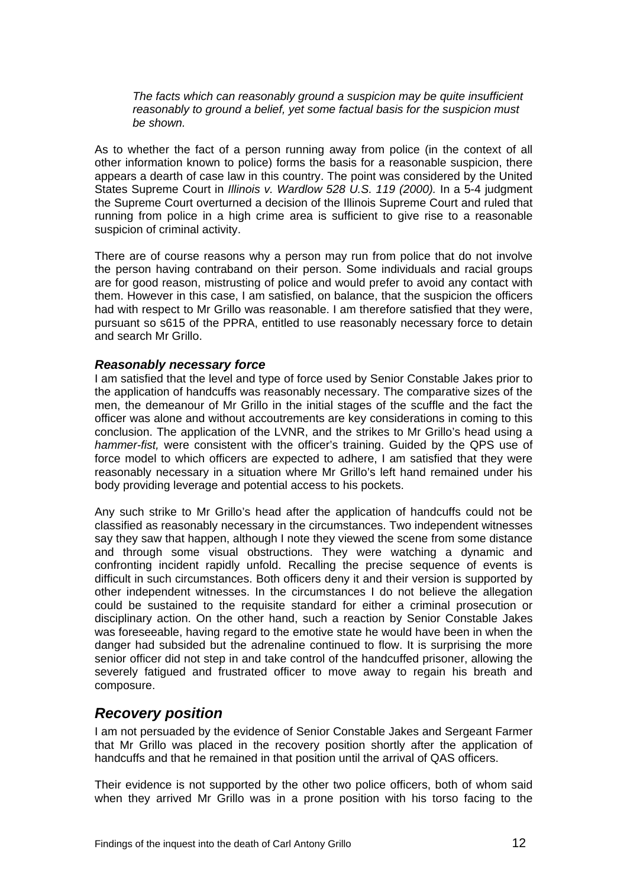<span id="page-13-0"></span>*The facts which can reasonably ground a suspicion may be quite insufficient reasonably to ground a belief, yet some factual basis for the suspicion must be shown.* 

As to whether the fact of a person running away from police (in the context of all other information known to police) forms the basis for a reasonable suspicion, there appears a dearth of case law in this country. The point was considered by the United States Supreme Court in *Illinois v. Wardlow [528 U.S. 119](http://en.wikipedia.org/wiki/Case_citation) (2000).* In a 5-4 judgment the Supreme Court overturned a decision of the Illinois Supreme Court and ruled that running from police in a high crime area is sufficient to give rise to a reasonable suspicion of criminal activity.

There are of course reasons why a person may run from police that do not involve the person having contraband on their person. Some individuals and racial groups are for good reason, mistrusting of police and would prefer to avoid any contact with them. However in this case, I am satisfied, on balance, that the suspicion the officers had with respect to Mr Grillo was reasonable. I am therefore satisfied that they were, pursuant so s615 of the PPRA, entitled to use reasonably necessary force to detain and search Mr Grillo.

#### *Reasonably necessary force*

I am satisfied that the level and type of force used by Senior Constable Jakes prior to the application of handcuffs was reasonably necessary. The comparative sizes of the men, the demeanour of Mr Grillo in the initial stages of the scuffle and the fact the officer was alone and without accoutrements are key considerations in coming to this conclusion. The application of the LVNR, and the strikes to Mr Grillo's head using a *hammer-fist,* were consistent with the officer's training. Guided by the QPS use of force model to which officers are expected to adhere, I am satisfied that they were reasonably necessary in a situation where Mr Grillo's left hand remained under his body providing leverage and potential access to his pockets.

Any such strike to Mr Grillo's head after the application of handcuffs could not be classified as reasonably necessary in the circumstances. Two independent witnesses say they saw that happen, although I note they viewed the scene from some distance and through some visual obstructions. They were watching a dynamic and confronting incident rapidly unfold. Recalling the precise sequence of events is difficult in such circumstances. Both officers deny it and their version is supported by other independent witnesses. In the circumstances I do not believe the allegation could be sustained to the requisite standard for either a criminal prosecution or disciplinary action. On the other hand, such a reaction by Senior Constable Jakes was foreseeable, having regard to the emotive state he would have been in when the danger had subsided but the adrenaline continued to flow. It is surprising the more senior officer did not step in and take control of the handcuffed prisoner, allowing the severely fatigued and frustrated officer to move away to regain his breath and composure.

### *Recovery position*

I am not persuaded by the evidence of Senior Constable Jakes and Sergeant Farmer that Mr Grillo was placed in the recovery position shortly after the application of handcuffs and that he remained in that position until the arrival of QAS officers.

Their evidence is not supported by the other two police officers, both of whom said when they arrived Mr Grillo was in a prone position with his torso facing to the